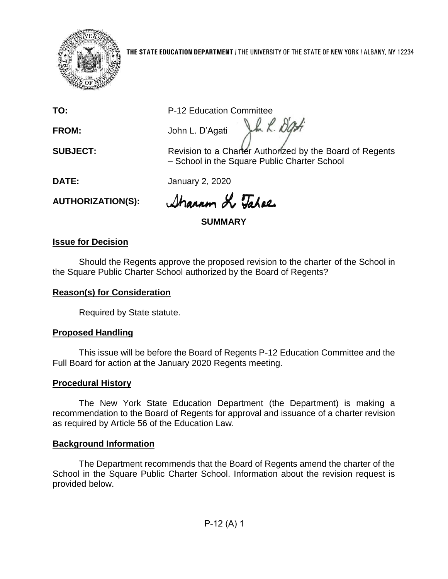

#### **THE STATE EDUCATION DEPARTMENT** / THE UNIVERSITY OF THE STATE OF NEW YORK / ALBANY, NY 12234

**TO:** P-12 Education Committee

**FROM:** John L. D'Agati

**SUBJECT:** Revision to a Charter Authorized by the Board of Regents – School in the Square Public Charter School

Vh L. Dati

**DATE:** January 2, 2020

**AUTHORIZATION(S):**

Sharron L Tahae

**SUMMARY**

## **Issue for Decision**

Should the Regents approve the proposed revision to the charter of the School in the Square Public Charter School authorized by the Board of Regents?

# **Reason(s) for Consideration**

Required by State statute.

# **Proposed Handling**

This issue will be before the Board of Regents P-12 Education Committee and the Full Board for action at the January 2020 Regents meeting.

# **Procedural History**

The New York State Education Department (the Department) is making a recommendation to the Board of Regents for approval and issuance of a charter revision as required by Article 56 of the Education Law.

## **Background Information**

The Department recommends that the Board of Regents amend the charter of the School in the Square Public Charter School. Information about the revision request is provided below.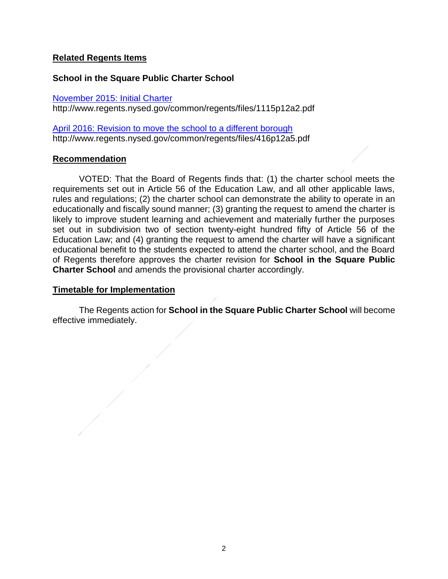### **Related Regents Items**

### **School in the Square Public Charter School**

[November 2015: Initial Charter](http://www.regents.nysed.gov/common/regents/files/1115p12a2.pdf)

http://www.regents.nysed.gov/common/regents/files/1115p12a2.pdf

[April 2016: Revision to move the school to a different borough](http://www.regents.nysed.gov/common/regents/files/416p12a5.pdf) http://www.regents.nysed.gov/common/regents/files/416p12a5.pdf

### **Recommendation**

VOTED: That the Board of Regents finds that: (1) the charter school meets the requirements set out in Article 56 of the Education Law, and all other applicable laws, rules and regulations; (2) the charter school can demonstrate the ability to operate in an educationally and fiscally sound manner; (3) granting the request to amend the charter is likely to improve student learning and achievement and materially further the purposes set out in subdivision two of section twenty-eight hundred fifty of Article 56 of the Education Law; and (4) granting the request to amend the charter will have a significant educational benefit to the students expected to attend the charter school, and the Board of Regents therefore approves the charter revision for **School in the Square Public Charter School** and amends the provisional charter accordingly.

### **Timetable for Implementation**

The Regents action for **School in the Square Public Charter School** will become effective immediately.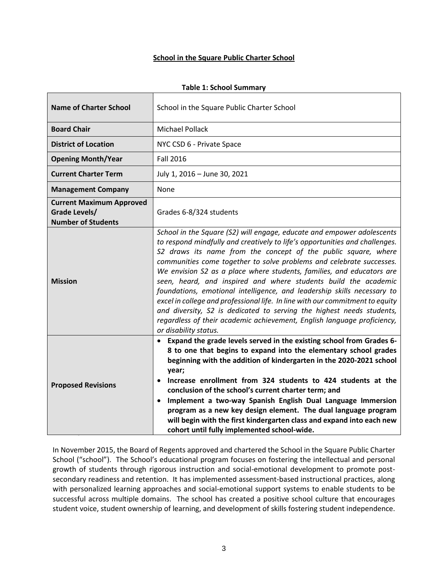#### **School in the Square Public Charter School**

| <b>Name of Charter School</b>                                                 | School in the Square Public Charter School                                                                                                                                                                                                                                                                                                                                                                                                                                                                                                                                                                                                                                                                                                                                           |
|-------------------------------------------------------------------------------|--------------------------------------------------------------------------------------------------------------------------------------------------------------------------------------------------------------------------------------------------------------------------------------------------------------------------------------------------------------------------------------------------------------------------------------------------------------------------------------------------------------------------------------------------------------------------------------------------------------------------------------------------------------------------------------------------------------------------------------------------------------------------------------|
| <b>Board Chair</b>                                                            | Michael Pollack                                                                                                                                                                                                                                                                                                                                                                                                                                                                                                                                                                                                                                                                                                                                                                      |
| <b>District of Location</b>                                                   | NYC CSD 6 - Private Space                                                                                                                                                                                                                                                                                                                                                                                                                                                                                                                                                                                                                                                                                                                                                            |
| <b>Opening Month/Year</b>                                                     | <b>Fall 2016</b>                                                                                                                                                                                                                                                                                                                                                                                                                                                                                                                                                                                                                                                                                                                                                                     |
| <b>Current Charter Term</b>                                                   | July 1, 2016 - June 30, 2021                                                                                                                                                                                                                                                                                                                                                                                                                                                                                                                                                                                                                                                                                                                                                         |
| <b>Management Company</b>                                                     | None                                                                                                                                                                                                                                                                                                                                                                                                                                                                                                                                                                                                                                                                                                                                                                                 |
| <b>Current Maximum Approved</b><br>Grade Levels/<br><b>Number of Students</b> | Grades 6-8/324 students                                                                                                                                                                                                                                                                                                                                                                                                                                                                                                                                                                                                                                                                                                                                                              |
| <b>Mission</b>                                                                | School in the Square (S2) will engage, educate and empower adolescents<br>to respond mindfully and creatively to life's opportunities and challenges.<br>S2 draws its name from the concept of the public square, where<br>communities come together to solve problems and celebrate successes.<br>We envision S2 as a place where students, families, and educators are<br>seen, heard, and inspired and where students build the academic<br>foundations, emotional intelligence, and leadership skills necessary to<br>excel in college and professional life. In line with our commitment to equity<br>and diversity, S2 is dedicated to serving the highest needs students,<br>regardless of their academic achievement, English language proficiency,<br>or disability status. |
| <b>Proposed Revisions</b>                                                     | Expand the grade levels served in the existing school from Grades 6-<br>$\bullet$<br>8 to one that begins to expand into the elementary school grades<br>beginning with the addition of kindergarten in the 2020-2021 school<br>year;<br>Increase enrollment from 324 students to 424 students at the<br>conclusion of the school's current charter term; and<br>Implement a two-way Spanish English Dual Language Immersion<br>$\bullet$<br>program as a new key design element. The dual language program<br>will begin with the first kindergarten class and expand into each new<br>cohort until fully implemented school-wide.                                                                                                                                                  |

**Table 1: School Summary**

In November 2015, the Board of Regents approved and chartered the School in the Square Public Charter School ("school"). The School's educational program focuses on fostering the intellectual and personal growth of students through rigorous instruction and social-emotional development to promote postsecondary readiness and retention. It has implemented assessment-based instructional practices, along with personalized learning approaches and social-emotional support systems to enable students to be successful across multiple domains. The school has created a positive school culture that encourages student voice, student ownership of learning, and development of skills fostering student independence.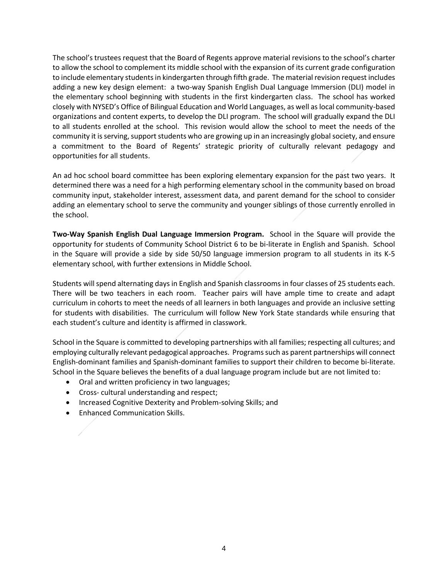The school's trustees request that the Board of Regents approve material revisions to the school's charter to allow the school to complement its middle school with the expansion of its current grade configuration to include elementary students in kindergarten through fifth grade. The material revision request includes adding a new key design element: a two-way Spanish English Dual Language Immersion (DLI) model in the elementary school beginning with students in the first kindergarten class. The school has worked closely with NYSED's Office of Bilingual Education and World Languages, as well as local community-based organizations and content experts, to develop the DLI program. The school will gradually expand the DLI to all students enrolled at the school. This revision would allow the school to meet the needs of the community it isserving, support students who are growing up in an increasingly global society, and ensure a commitment to the Board of Regents' strategic priority of culturally relevant pedagogy and opportunities for all students.

An ad hoc school board committee has been exploring elementary expansion for the past two years. It determined there was a need for a high performing elementary school in the community based on broad community input, stakeholder interest, assessment data, and parent demand for the school to consider adding an elementary school to serve the community and younger siblings of those currently enrolled in the school.

**Two-Way Spanish English Dual Language Immersion Program.** School in the Square will provide the opportunity for students of Community School District 6 to be bi-literate in English and Spanish. School in the Square will provide a side by side 50/50 language immersion program to all students in its K-5 elementary school, with further extensions in Middle School.

Students will spend alternating days in English and Spanish classrooms in four classes of 25 students each. There will be two teachers in each room. Teacher pairs will have ample time to create and adapt curriculum in cohorts to meet the needs of all learners in both languages and provide an inclusive setting for students with disabilities. The curriculum will follow New York State standards while ensuring that each student's culture and identity is affirmed in classwork.

School in the Square is committed to developing partnerships with all families; respecting all cultures; and employing culturally relevant pedagogical approaches. Programs such as parent partnerships will connect English-dominant families and Spanish-dominant families to support their children to become bi-literate. School in the Square believes the benefits of a dual language program include but are not limited to:

- Oral and written proficiency in two languages;
- Cross- cultural understanding and respect;
- Increased Cognitive Dexterity and Problem-solving Skills; and
- Enhanced Communication Skills.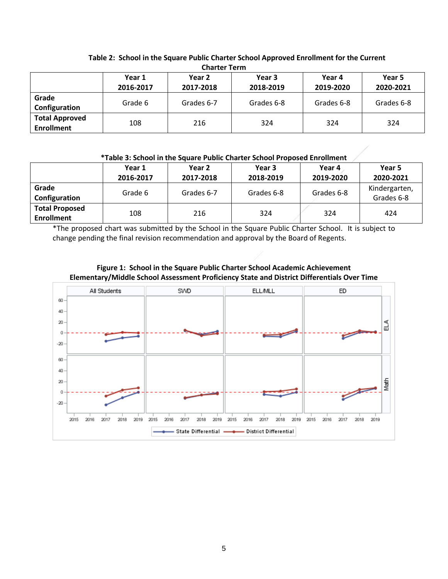| Charter Term                               |                     |                     |                     |                     |                     |  |  |  |  |
|--------------------------------------------|---------------------|---------------------|---------------------|---------------------|---------------------|--|--|--|--|
|                                            | Year 1<br>2016-2017 | Year 2<br>2017-2018 | Year 3<br>2018-2019 | Year 4<br>2019-2020 | Year 5<br>2020-2021 |  |  |  |  |
| Grade<br>Configuration                     | Grade 6             | Grades 6-7          | Grades 6-8          | Grades 6-8          | Grades 6-8          |  |  |  |  |
| <b>Total Approved</b><br><b>Enrollment</b> | 108                 | 216                 | 324                 | 324                 | 324                 |  |  |  |  |

#### **Table 2: School in the Square Public Charter School Approved Enrollment for the Current Charter Term**

#### **\*Table 3: School in the Square Public Charter School Proposed Enrollment**

|                                            | Year 1    | Year 2     | Year 3     | Year 4     | Year 5                      |  |
|--------------------------------------------|-----------|------------|------------|------------|-----------------------------|--|
|                                            | 2016-2017 | 2017-2018  | 2018-2019  | 2019-2020  | 2020-2021                   |  |
| Grade<br>Configuration                     | Grade 6   | Grades 6-7 | Grades 6-8 | Grades 6-8 | Kindergarten,<br>Grades 6-8 |  |
| <b>Total Proposed</b><br><b>Enrollment</b> | 108       | 216        | 324        | 324        | 424                         |  |

\*The proposed chart was submitted by the School in the Square Public Charter School. It is subject to change pending the final revision recommendation and approval by the Board of Regents.